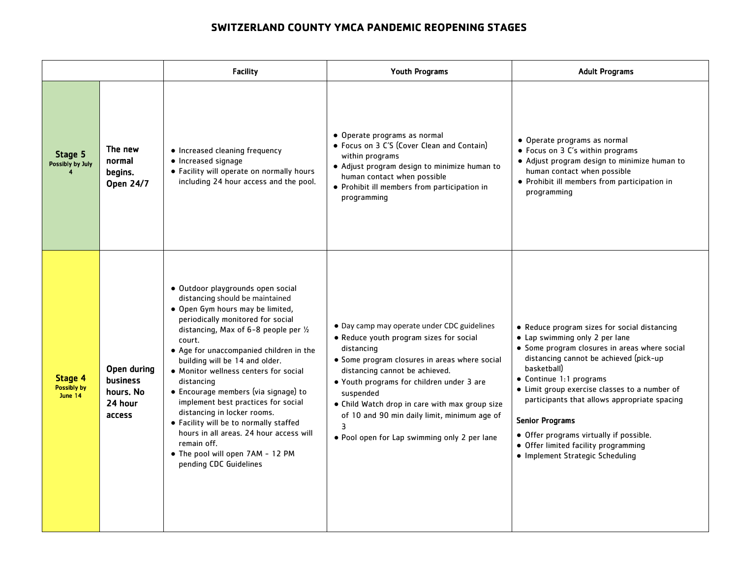## **SWITZERLAND COUNTY YMCA PANDEMIC REOPENING STAGES**

|                                          |                                                                  | <b>Facility</b>                                                                                                                                                                                                                                                                                                                                                                                                                                                                                                                                                                                                      | <b>Youth Programs</b>                                                                                                                                                                                                                                                                                                                                                                                    | <b>Adult Programs</b>                                                                                                                                                                                                                                                                                                                                                                                                                                                 |
|------------------------------------------|------------------------------------------------------------------|----------------------------------------------------------------------------------------------------------------------------------------------------------------------------------------------------------------------------------------------------------------------------------------------------------------------------------------------------------------------------------------------------------------------------------------------------------------------------------------------------------------------------------------------------------------------------------------------------------------------|----------------------------------------------------------------------------------------------------------------------------------------------------------------------------------------------------------------------------------------------------------------------------------------------------------------------------------------------------------------------------------------------------------|-----------------------------------------------------------------------------------------------------------------------------------------------------------------------------------------------------------------------------------------------------------------------------------------------------------------------------------------------------------------------------------------------------------------------------------------------------------------------|
| Stage 5<br>Possibly by July              | The new<br>normal<br>begins.<br><b>Open 24/7</b>                 | • Increased cleaning frequency<br>• Increased signage<br>• Facility will operate on normally hours<br>including 24 hour access and the pool.                                                                                                                                                                                                                                                                                                                                                                                                                                                                         | • Operate programs as normal<br>• Focus on 3 C'S (Cover Clean and Contain)<br>within programs<br>• Adjust program design to minimize human to<br>human contact when possible<br>• Prohibit ill members from participation in<br>programming                                                                                                                                                              | • Operate programs as normal<br>• Focus on 3 C's within programs<br>• Adjust program design to minimize human to<br>human contact when possible<br>• Prohibit ill members from participation in<br>programming                                                                                                                                                                                                                                                        |
| Stage 4<br><b>Possibly by</b><br>June 14 | Open during<br><b>business</b><br>hours. No<br>24 hour<br>access | · Outdoor playgrounds open social<br>distancing should be maintained<br>• Open Gym hours may be limited,<br>periodically monitored for social<br>distancing, Max of 6-8 people per 1/2<br>court.<br>• Age for unaccompanied children in the<br>building will be 14 and older.<br>• Monitor wellness centers for social<br>distancing<br>• Encourage members (via signage) to<br>implement best practices for social<br>distancing in locker rooms.<br>• Facility will be to normally staffed<br>hours in all areas. 24 hour access will<br>remain off.<br>• The pool will open 7AM - 12 PM<br>pending CDC Guidelines | • Day camp may operate under CDC guidelines<br>• Reduce youth program sizes for social<br>distancing<br>• Some program closures in areas where social<br>distancing cannot be achieved.<br>• Youth programs for children under 3 are<br>suspended<br>• Child Watch drop in care with max group size<br>of 10 and 90 min daily limit, minimum age of<br>3<br>. Pool open for Lap swimming only 2 per lane | • Reduce program sizes for social distancing<br>• Lap swimming only 2 per lane<br>• Some program closures in areas where social<br>distancing cannot be achieved (pick-up<br>basketball)<br>• Continue 1:1 programs<br>• Limit group exercise classes to a number of<br>participants that allows appropriate spacing<br><b>Senior Programs</b><br>• Offer programs virtually if possible.<br>• Offer limited facility programming<br>• Implement Strategic Scheduling |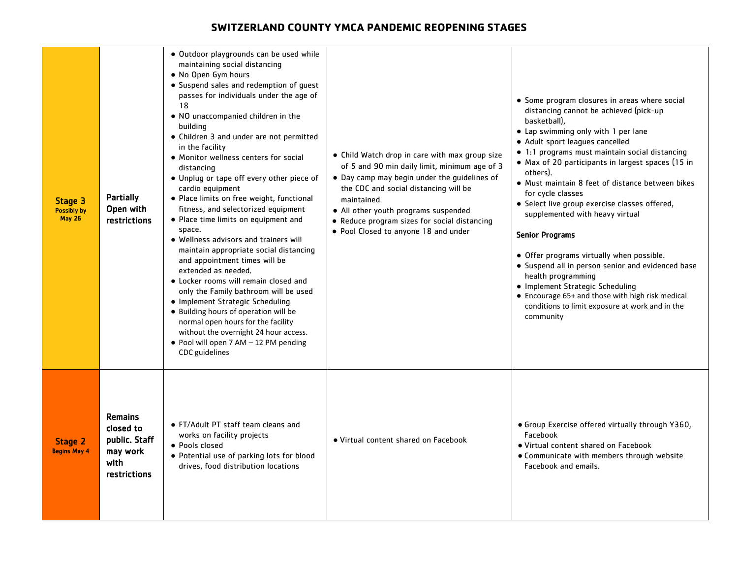## **SWITZERLAND COUNTY YMCA PANDEMIC REOPENING STAGES**

| Stage 3<br><b>Possibly by</b><br><b>May 26</b> | <b>Partially</b><br>Open with<br>restrictions                                    | · Outdoor playgrounds can be used while<br>maintaining social distancing<br>• No Open Gym hours<br>• Suspend sales and redemption of guest<br>passes for individuals under the age of<br>18<br>• NO unaccompanied children in the<br>building<br>• Children 3 and under are not permitted<br>in the facility<br>• Monitor wellness centers for social<br>distancing<br>• Unplug or tape off every other piece of<br>cardio equipment<br>• Place limits on free weight, functional<br>fitness, and selectorized equipment<br>• Place time limits on equipment and<br>space.<br>• Wellness advisors and trainers will<br>maintain appropriate social distancing<br>and appointment times will be<br>extended as needed.<br>• Locker rooms will remain closed and<br>only the Family bathroom will be used<br>• Implement Strategic Scheduling<br>• Building hours of operation will be<br>normal open hours for the facility<br>without the overnight 24 hour access.<br>• Pool will open 7 AM - 12 PM pending<br>CDC guidelines | • Child Watch drop in care with max group size<br>of 5 and 90 min daily limit, minimum age of 3<br>• Day camp may begin under the guidelines of<br>the CDC and social distancing will be<br>maintained.<br>• All other youth programs suspended<br>• Reduce program sizes for social distancing<br>• Pool Closed to anyone 18 and under | • Some program closures in areas where social<br>distancing cannot be achieved (pick-up<br>basketball),<br>• Lap swimming only with 1 per lane<br>• Adult sport leagues cancelled<br>$\bullet$ 1:1 programs must maintain social distancing<br>• Max of 20 participants in largest spaces (15 in<br>others).<br>• Must maintain 8 feet of distance between bikes<br>for cycle classes<br>• Select live group exercise classes offered,<br>supplemented with heavy virtual<br><b>Senior Programs</b><br>• Offer programs virtually when possible.<br>• Suspend all in person senior and evidenced base<br>health programming<br>• Implement Strategic Scheduling<br>• Encourage 65+ and those with high risk medical<br>conditions to limit exposure at work and in the<br>community |
|------------------------------------------------|----------------------------------------------------------------------------------|--------------------------------------------------------------------------------------------------------------------------------------------------------------------------------------------------------------------------------------------------------------------------------------------------------------------------------------------------------------------------------------------------------------------------------------------------------------------------------------------------------------------------------------------------------------------------------------------------------------------------------------------------------------------------------------------------------------------------------------------------------------------------------------------------------------------------------------------------------------------------------------------------------------------------------------------------------------------------------------------------------------------------------|-----------------------------------------------------------------------------------------------------------------------------------------------------------------------------------------------------------------------------------------------------------------------------------------------------------------------------------------|-------------------------------------------------------------------------------------------------------------------------------------------------------------------------------------------------------------------------------------------------------------------------------------------------------------------------------------------------------------------------------------------------------------------------------------------------------------------------------------------------------------------------------------------------------------------------------------------------------------------------------------------------------------------------------------------------------------------------------------------------------------------------------------|
| Stage 2<br><b>Begins May 4</b>                 | <b>Remains</b><br>closed to<br>public. Staff<br>may work<br>with<br>restrictions | • FT/Adult PT staff team cleans and<br>works on facility projects<br>• Pools closed<br>• Potential use of parking lots for blood<br>drives, food distribution locations                                                                                                                                                                                                                                                                                                                                                                                                                                                                                                                                                                                                                                                                                                                                                                                                                                                        | • Virtual content shared on Facebook                                                                                                                                                                                                                                                                                                    | • Group Exercise offered virtually through Y360,<br>Facebook<br>• Virtual content shared on Facebook<br>• Communicate with members through website<br>Facebook and emails.                                                                                                                                                                                                                                                                                                                                                                                                                                                                                                                                                                                                          |